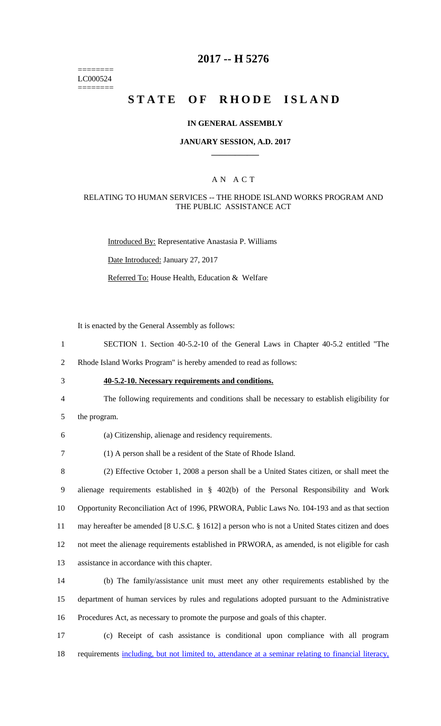======== LC000524 ========

# **2017 -- H 5276**

# **STATE OF RHODE ISLAND**

#### **IN GENERAL ASSEMBLY**

#### **JANUARY SESSION, A.D. 2017 \_\_\_\_\_\_\_\_\_\_\_\_**

### A N A C T

#### RELATING TO HUMAN SERVICES -- THE RHODE ISLAND WORKS PROGRAM AND THE PUBLIC ASSISTANCE ACT

Introduced By: Representative Anastasia P. Williams

Date Introduced: January 27, 2017

Referred To: House Health, Education & Welfare

It is enacted by the General Assembly as follows:

1 SECTION 1. Section 40-5.2-10 of the General Laws in Chapter 40-5.2 entitled "The

2 Rhode Island Works Program" is hereby amended to read as follows:

- 3 **40-5.2-10. Necessary requirements and conditions.**
- 4 The following requirements and conditions shall be necessary to establish eligibility for
- 5 the program.

| (a) Citizenship, alienage and residency requirements. |  |  |
|-------------------------------------------------------|--|--|
|                                                       |  |  |

7 (1) A person shall be a resident of the State of Rhode Island.

 (2) Effective October 1, 2008 a person shall be a United States citizen, or shall meet the alienage requirements established in § 402(b) of the Personal Responsibility and Work Opportunity Reconciliation Act of 1996, PRWORA, Public Laws No. 104-193 and as that section may hereafter be amended [8 U.S.C. § 1612] a person who is not a United States citizen and does not meet the alienage requirements established in PRWORA, as amended, is not eligible for cash assistance in accordance with this chapter.

14 (b) The family/assistance unit must meet any other requirements established by the 15 department of human services by rules and regulations adopted pursuant to the Administrative 16 Procedures Act, as necessary to promote the purpose and goals of this chapter.

17 (c) Receipt of cash assistance is conditional upon compliance with all program 18 requirements including, but not limited to, attendance at a seminar relating to financial literacy,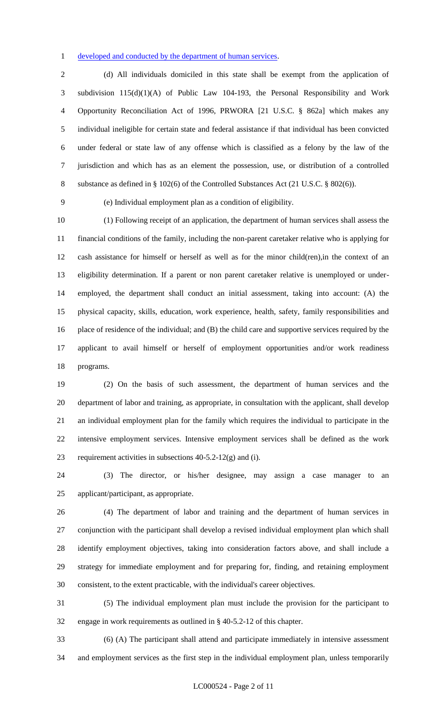developed and conducted by the department of human services.

 (d) All individuals domiciled in this state shall be exempt from the application of subdivision 115(d)(1)(A) of Public Law 104-193, the Personal Responsibility and Work Opportunity Reconciliation Act of 1996, PRWORA [21 U.S.C. § 862a] which makes any individual ineligible for certain state and federal assistance if that individual has been convicted under federal or state law of any offense which is classified as a felony by the law of the jurisdiction and which has as an element the possession, use, or distribution of a controlled substance as defined in § 102(6) of the Controlled Substances Act (21 U.S.C. § 802(6)).

(e) Individual employment plan as a condition of eligibility.

 (1) Following receipt of an application, the department of human services shall assess the financial conditions of the family, including the non-parent caretaker relative who is applying for cash assistance for himself or herself as well as for the minor child(ren),in the context of an eligibility determination. If a parent or non parent caretaker relative is unemployed or under- employed, the department shall conduct an initial assessment, taking into account: (A) the physical capacity, skills, education, work experience, health, safety, family responsibilities and place of residence of the individual; and (B) the child care and supportive services required by the applicant to avail himself or herself of employment opportunities and/or work readiness programs.

 (2) On the basis of such assessment, the department of human services and the department of labor and training, as appropriate, in consultation with the applicant, shall develop an individual employment plan for the family which requires the individual to participate in the intensive employment services. Intensive employment services shall be defined as the work 23 requirement activities in subsections  $40-5.2-12(g)$  and (i).

 (3) The director, or his/her designee, may assign a case manager to an applicant/participant, as appropriate.

 (4) The department of labor and training and the department of human services in conjunction with the participant shall develop a revised individual employment plan which shall identify employment objectives, taking into consideration factors above, and shall include a strategy for immediate employment and for preparing for, finding, and retaining employment consistent, to the extent practicable, with the individual's career objectives.

 (5) The individual employment plan must include the provision for the participant to engage in work requirements as outlined in § 40-5.2-12 of this chapter.

 (6) (A) The participant shall attend and participate immediately in intensive assessment and employment services as the first step in the individual employment plan, unless temporarily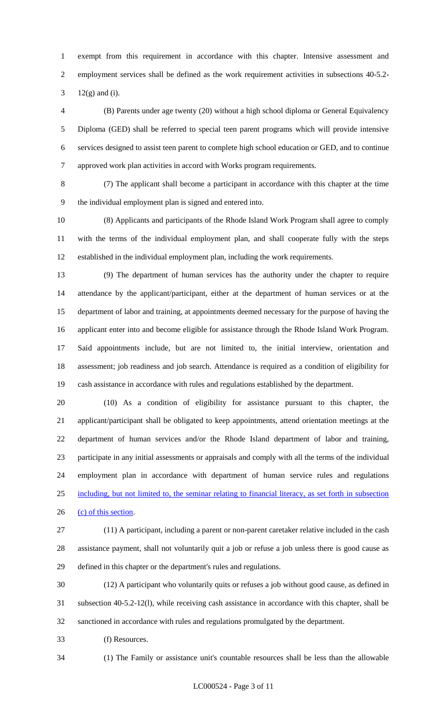exempt from this requirement in accordance with this chapter. Intensive assessment and employment services shall be defined as the work requirement activities in subsections 40-5.2-

12(g) and (i).

 (B) Parents under age twenty (20) without a high school diploma or General Equivalency Diploma (GED) shall be referred to special teen parent programs which will provide intensive services designed to assist teen parent to complete high school education or GED, and to continue approved work plan activities in accord with Works program requirements.

 (7) The applicant shall become a participant in accordance with this chapter at the time the individual employment plan is signed and entered into.

 (8) Applicants and participants of the Rhode Island Work Program shall agree to comply with the terms of the individual employment plan, and shall cooperate fully with the steps established in the individual employment plan, including the work requirements.

 (9) The department of human services has the authority under the chapter to require attendance by the applicant/participant, either at the department of human services or at the department of labor and training, at appointments deemed necessary for the purpose of having the applicant enter into and become eligible for assistance through the Rhode Island Work Program. Said appointments include, but are not limited to, the initial interview, orientation and assessment; job readiness and job search. Attendance is required as a condition of eligibility for cash assistance in accordance with rules and regulations established by the department.

 (10) As a condition of eligibility for assistance pursuant to this chapter, the applicant/participant shall be obligated to keep appointments, attend orientation meetings at the department of human services and/or the Rhode Island department of labor and training, participate in any initial assessments or appraisals and comply with all the terms of the individual employment plan in accordance with department of human service rules and regulations including, but not limited to, the seminar relating to financial literacy, as set forth in subsection 26 (c) of this section.

 (11) A participant, including a parent or non-parent caretaker relative included in the cash assistance payment, shall not voluntarily quit a job or refuse a job unless there is good cause as defined in this chapter or the department's rules and regulations.

 (12) A participant who voluntarily quits or refuses a job without good cause, as defined in subsection 40-5.2-12(l), while receiving cash assistance in accordance with this chapter, shall be sanctioned in accordance with rules and regulations promulgated by the department.

(f) Resources.

(1) The Family or assistance unit's countable resources shall be less than the allowable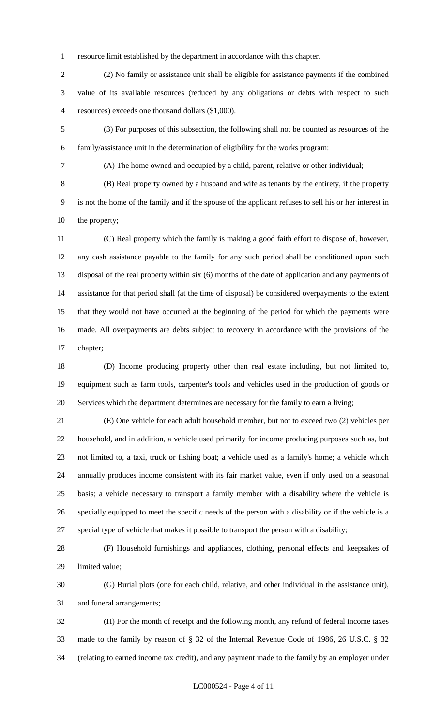resource limit established by the department in accordance with this chapter.

 (2) No family or assistance unit shall be eligible for assistance payments if the combined value of its available resources (reduced by any obligations or debts with respect to such resources) exceeds one thousand dollars (\$1,000).

 (3) For purposes of this subsection, the following shall not be counted as resources of the family/assistance unit in the determination of eligibility for the works program:

(A) The home owned and occupied by a child, parent, relative or other individual;

 (B) Real property owned by a husband and wife as tenants by the entirety, if the property is not the home of the family and if the spouse of the applicant refuses to sell his or her interest in the property;

 (C) Real property which the family is making a good faith effort to dispose of, however, any cash assistance payable to the family for any such period shall be conditioned upon such disposal of the real property within six (6) months of the date of application and any payments of assistance for that period shall (at the time of disposal) be considered overpayments to the extent that they would not have occurred at the beginning of the period for which the payments were made. All overpayments are debts subject to recovery in accordance with the provisions of the chapter;

 (D) Income producing property other than real estate including, but not limited to, equipment such as farm tools, carpenter's tools and vehicles used in the production of goods or Services which the department determines are necessary for the family to earn a living;

 (E) One vehicle for each adult household member, but not to exceed two (2) vehicles per household, and in addition, a vehicle used primarily for income producing purposes such as, but not limited to, a taxi, truck or fishing boat; a vehicle used as a family's home; a vehicle which annually produces income consistent with its fair market value, even if only used on a seasonal basis; a vehicle necessary to transport a family member with a disability where the vehicle is specially equipped to meet the specific needs of the person with a disability or if the vehicle is a special type of vehicle that makes it possible to transport the person with a disability;

 (F) Household furnishings and appliances, clothing, personal effects and keepsakes of limited value;

 (G) Burial plots (one for each child, relative, and other individual in the assistance unit), and funeral arrangements;

 (H) For the month of receipt and the following month, any refund of federal income taxes made to the family by reason of § 32 of the Internal Revenue Code of 1986, 26 U.S.C. § 32 (relating to earned income tax credit), and any payment made to the family by an employer under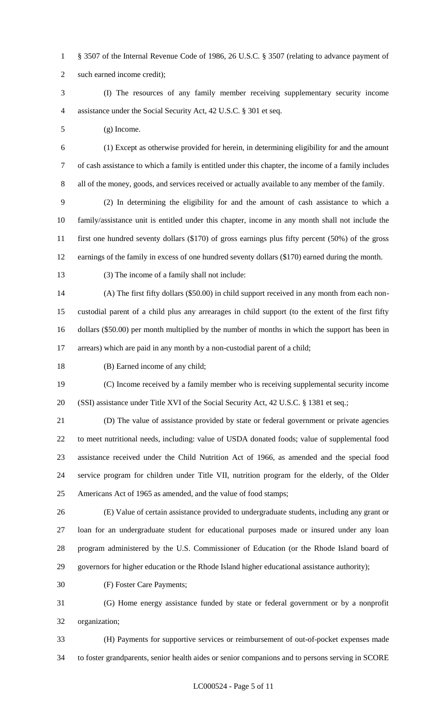§ 3507 of the Internal Revenue Code of 1986, 26 U.S.C. § 3507 (relating to advance payment of such earned income credit);

 (I) The resources of any family member receiving supplementary security income assistance under the Social Security Act, 42 U.S.C. § 301 et seq.

(g) Income.

 (1) Except as otherwise provided for herein, in determining eligibility for and the amount of cash assistance to which a family is entitled under this chapter, the income of a family includes all of the money, goods, and services received or actually available to any member of the family.

 (2) In determining the eligibility for and the amount of cash assistance to which a family/assistance unit is entitled under this chapter, income in any month shall not include the first one hundred seventy dollars (\$170) of gross earnings plus fifty percent (50%) of the gross earnings of the family in excess of one hundred seventy dollars (\$170) earned during the month.

(3) The income of a family shall not include:

 (A) The first fifty dollars (\$50.00) in child support received in any month from each non- custodial parent of a child plus any arrearages in child support (to the extent of the first fifty dollars (\$50.00) per month multiplied by the number of months in which the support has been in arrears) which are paid in any month by a non-custodial parent of a child;

(B) Earned income of any child;

 (C) Income received by a family member who is receiving supplemental security income (SSI) assistance under Title XVI of the Social Security Act, 42 U.S.C. § 1381 et seq.;

 (D) The value of assistance provided by state or federal government or private agencies to meet nutritional needs, including: value of USDA donated foods; value of supplemental food assistance received under the Child Nutrition Act of 1966, as amended and the special food service program for children under Title VII, nutrition program for the elderly, of the Older Americans Act of 1965 as amended, and the value of food stamps;

 (E) Value of certain assistance provided to undergraduate students, including any grant or loan for an undergraduate student for educational purposes made or insured under any loan program administered by the U.S. Commissioner of Education (or the Rhode Island board of governors for higher education or the Rhode Island higher educational assistance authority);

(F) Foster Care Payments;

 (G) Home energy assistance funded by state or federal government or by a nonprofit organization;

 (H) Payments for supportive services or reimbursement of out-of-pocket expenses made to foster grandparents, senior health aides or senior companions and to persons serving in SCORE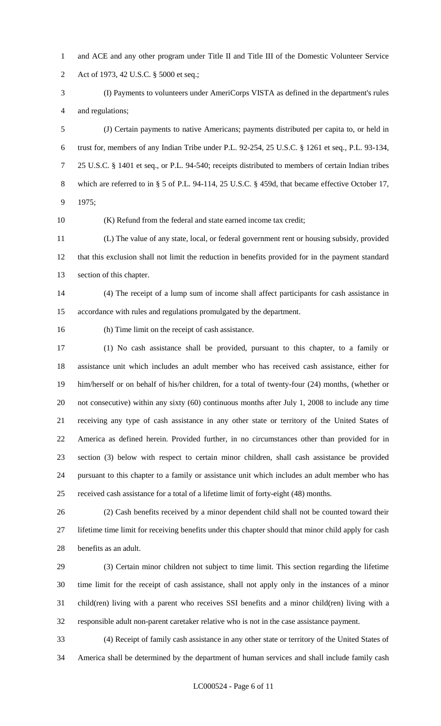- and ACE and any other program under Title II and Title III of the Domestic Volunteer Service Act of 1973, 42 U.S.C. § 5000 et seq.;
- (I) Payments to volunteers under AmeriCorps VISTA as defined in the department's rules and regulations;

 (J) Certain payments to native Americans; payments distributed per capita to, or held in trust for, members of any Indian Tribe under P.L. 92-254, 25 U.S.C. § 1261 et seq., P.L. 93-134, 25 U.S.C. § 1401 et seq., or P.L. 94-540; receipts distributed to members of certain Indian tribes which are referred to in § 5 of P.L. 94-114, 25 U.S.C. § 459d, that became effective October 17, 1975;

(K) Refund from the federal and state earned income tax credit;

 (L) The value of any state, local, or federal government rent or housing subsidy, provided that this exclusion shall not limit the reduction in benefits provided for in the payment standard section of this chapter.

 (4) The receipt of a lump sum of income shall affect participants for cash assistance in accordance with rules and regulations promulgated by the department.

(h) Time limit on the receipt of cash assistance.

 (1) No cash assistance shall be provided, pursuant to this chapter, to a family or assistance unit which includes an adult member who has received cash assistance, either for him/herself or on behalf of his/her children, for a total of twenty-four (24) months, (whether or not consecutive) within any sixty (60) continuous months after July 1, 2008 to include any time receiving any type of cash assistance in any other state or territory of the United States of America as defined herein. Provided further, in no circumstances other than provided for in section (3) below with respect to certain minor children, shall cash assistance be provided pursuant to this chapter to a family or assistance unit which includes an adult member who has received cash assistance for a total of a lifetime limit of forty-eight (48) months.

 (2) Cash benefits received by a minor dependent child shall not be counted toward their lifetime time limit for receiving benefits under this chapter should that minor child apply for cash benefits as an adult.

 (3) Certain minor children not subject to time limit. This section regarding the lifetime time limit for the receipt of cash assistance, shall not apply only in the instances of a minor child(ren) living with a parent who receives SSI benefits and a minor child(ren) living with a responsible adult non-parent caretaker relative who is not in the case assistance payment.

 (4) Receipt of family cash assistance in any other state or territory of the United States of America shall be determined by the department of human services and shall include family cash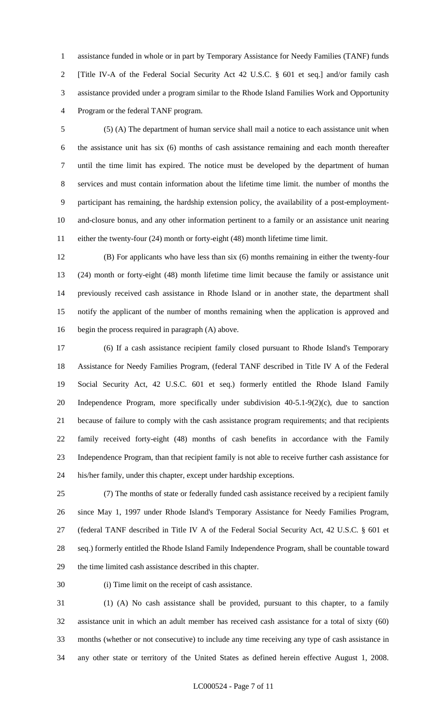assistance funded in whole or in part by Temporary Assistance for Needy Families (TANF) funds [Title IV-A of the Federal Social Security Act 42 U.S.C. § 601 et seq.] and/or family cash assistance provided under a program similar to the Rhode Island Families Work and Opportunity Program or the federal TANF program.

 (5) (A) The department of human service shall mail a notice to each assistance unit when the assistance unit has six (6) months of cash assistance remaining and each month thereafter until the time limit has expired. The notice must be developed by the department of human services and must contain information about the lifetime time limit. the number of months the participant has remaining, the hardship extension policy, the availability of a post-employment- and-closure bonus, and any other information pertinent to a family or an assistance unit nearing either the twenty-four (24) month or forty-eight (48) month lifetime time limit.

 (B) For applicants who have less than six (6) months remaining in either the twenty-four (24) month or forty-eight (48) month lifetime time limit because the family or assistance unit previously received cash assistance in Rhode Island or in another state, the department shall notify the applicant of the number of months remaining when the application is approved and begin the process required in paragraph (A) above.

 (6) If a cash assistance recipient family closed pursuant to Rhode Island's Temporary Assistance for Needy Families Program, (federal TANF described in Title IV A of the Federal Social Security Act, 42 U.S.C. 601 et seq.) formerly entitled the Rhode Island Family Independence Program, more specifically under subdivision 40-5.1-9(2)(c), due to sanction because of failure to comply with the cash assistance program requirements; and that recipients family received forty-eight (48) months of cash benefits in accordance with the Family Independence Program, than that recipient family is not able to receive further cash assistance for his/her family, under this chapter, except under hardship exceptions.

 (7) The months of state or federally funded cash assistance received by a recipient family since May 1, 1997 under Rhode Island's Temporary Assistance for Needy Families Program, (federal TANF described in Title IV A of the Federal Social Security Act, 42 U.S.C. § 601 et seq.) formerly entitled the Rhode Island Family Independence Program, shall be countable toward the time limited cash assistance described in this chapter.

(i) Time limit on the receipt of cash assistance.

 (1) (A) No cash assistance shall be provided, pursuant to this chapter, to a family assistance unit in which an adult member has received cash assistance for a total of sixty (60) months (whether or not consecutive) to include any time receiving any type of cash assistance in any other state or territory of the United States as defined herein effective August 1, 2008.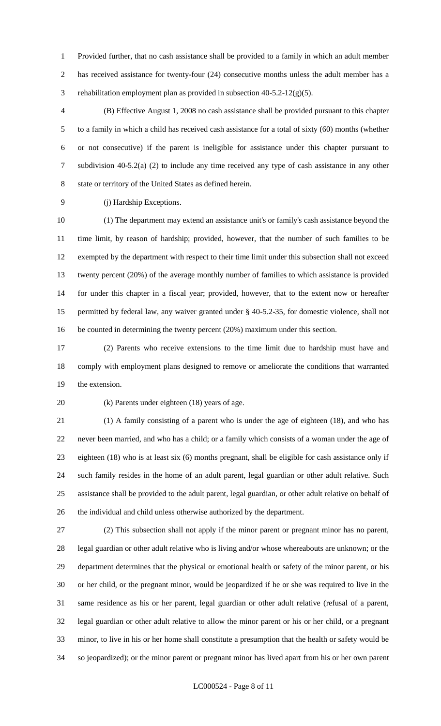Provided further, that no cash assistance shall be provided to a family in which an adult member 2 has received assistance for twenty-four (24) consecutive months unless the adult member has a rehabilitation employment plan as provided in subsection 40-5.2-12(g)(5).

 (B) Effective August 1, 2008 no cash assistance shall be provided pursuant to this chapter to a family in which a child has received cash assistance for a total of sixty (60) months (whether or not consecutive) if the parent is ineligible for assistance under this chapter pursuant to subdivision 40-5.2(a) (2) to include any time received any type of cash assistance in any other state or territory of the United States as defined herein.

(j) Hardship Exceptions.

 (1) The department may extend an assistance unit's or family's cash assistance beyond the time limit, by reason of hardship; provided, however, that the number of such families to be exempted by the department with respect to their time limit under this subsection shall not exceed twenty percent (20%) of the average monthly number of families to which assistance is provided for under this chapter in a fiscal year; provided, however, that to the extent now or hereafter permitted by federal law, any waiver granted under § 40-5.2-35, for domestic violence, shall not be counted in determining the twenty percent (20%) maximum under this section.

 (2) Parents who receive extensions to the time limit due to hardship must have and comply with employment plans designed to remove or ameliorate the conditions that warranted the extension.

(k) Parents under eighteen (18) years of age.

 (1) A family consisting of a parent who is under the age of eighteen (18), and who has never been married, and who has a child; or a family which consists of a woman under the age of eighteen (18) who is at least six (6) months pregnant, shall be eligible for cash assistance only if such family resides in the home of an adult parent, legal guardian or other adult relative. Such assistance shall be provided to the adult parent, legal guardian, or other adult relative on behalf of the individual and child unless otherwise authorized by the department.

 (2) This subsection shall not apply if the minor parent or pregnant minor has no parent, legal guardian or other adult relative who is living and/or whose whereabouts are unknown; or the department determines that the physical or emotional health or safety of the minor parent, or his or her child, or the pregnant minor, would be jeopardized if he or she was required to live in the same residence as his or her parent, legal guardian or other adult relative (refusal of a parent, legal guardian or other adult relative to allow the minor parent or his or her child, or a pregnant minor, to live in his or her home shall constitute a presumption that the health or safety would be so jeopardized); or the minor parent or pregnant minor has lived apart from his or her own parent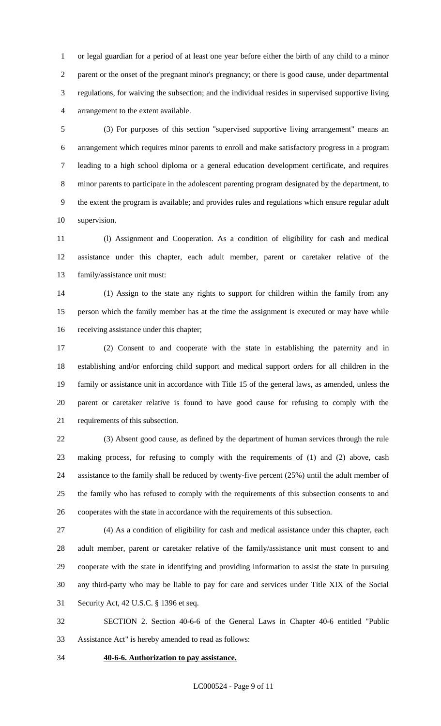or legal guardian for a period of at least one year before either the birth of any child to a minor parent or the onset of the pregnant minor's pregnancy; or there is good cause, under departmental regulations, for waiving the subsection; and the individual resides in supervised supportive living arrangement to the extent available.

 (3) For purposes of this section "supervised supportive living arrangement" means an arrangement which requires minor parents to enroll and make satisfactory progress in a program leading to a high school diploma or a general education development certificate, and requires minor parents to participate in the adolescent parenting program designated by the department, to the extent the program is available; and provides rules and regulations which ensure regular adult supervision.

 (l) Assignment and Cooperation. As a condition of eligibility for cash and medical assistance under this chapter, each adult member, parent or caretaker relative of the family/assistance unit must:

 (1) Assign to the state any rights to support for children within the family from any person which the family member has at the time the assignment is executed or may have while receiving assistance under this chapter;

 (2) Consent to and cooperate with the state in establishing the paternity and in establishing and/or enforcing child support and medical support orders for all children in the family or assistance unit in accordance with Title 15 of the general laws, as amended, unless the parent or caretaker relative is found to have good cause for refusing to comply with the requirements of this subsection.

 (3) Absent good cause, as defined by the department of human services through the rule making process, for refusing to comply with the requirements of (1) and (2) above, cash assistance to the family shall be reduced by twenty-five percent (25%) until the adult member of the family who has refused to comply with the requirements of this subsection consents to and cooperates with the state in accordance with the requirements of this subsection.

 (4) As a condition of eligibility for cash and medical assistance under this chapter, each adult member, parent or caretaker relative of the family/assistance unit must consent to and cooperate with the state in identifying and providing information to assist the state in pursuing any third-party who may be liable to pay for care and services under Title XIX of the Social Security Act, 42 U.S.C. § 1396 et seq.

 SECTION 2. Section 40-6-6 of the General Laws in Chapter 40-6 entitled "Public Assistance Act" is hereby amended to read as follows:

**40-6-6. Authorization to pay assistance.**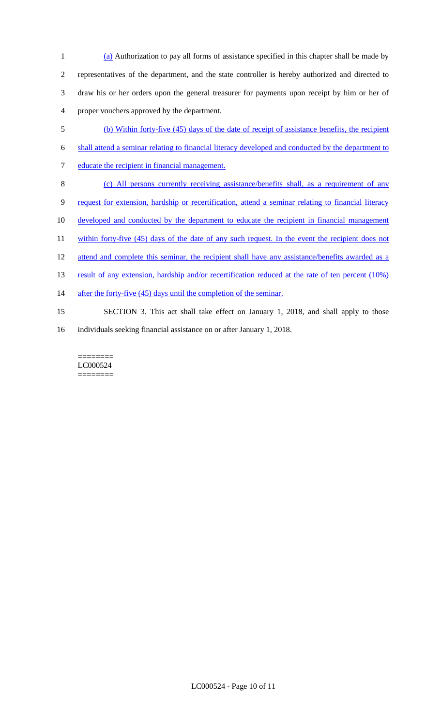(a) Authorization to pay all forms of assistance specified in this chapter shall be made by representatives of the department, and the state controller is hereby authorized and directed to draw his or her orders upon the general treasurer for payments upon receipt by him or her of proper vouchers approved by the department.

- 5 (b) Within forty-five (45) days of the date of receipt of assistance benefits, the recipient 6 shall attend a seminar relating to financial literacy developed and conducted by the department to 7 educate the recipient in financial management. 8 (c) All persons currently receiving assistance/benefits shall, as a requirement of any 9 request for extension, hardship or recertification, attend a seminar relating to financial literacy 10 developed and conducted by the department to educate the recipient in financial management 11 within forty-five (45) days of the date of any such request. In the event the recipient does not 12 attend and complete this seminar, the recipient shall have any assistance/benefits awarded as a 13 result of any extension, hardship and/or recertification reduced at the rate of ten percent (10%) 14 after the forty-five (45) days until the completion of the seminar. 15 SECTION 3. This act shall take effect on January 1, 2018, and shall apply to those
- 16 individuals seeking financial assistance on or after January 1, 2018.

======== LC000524 ========